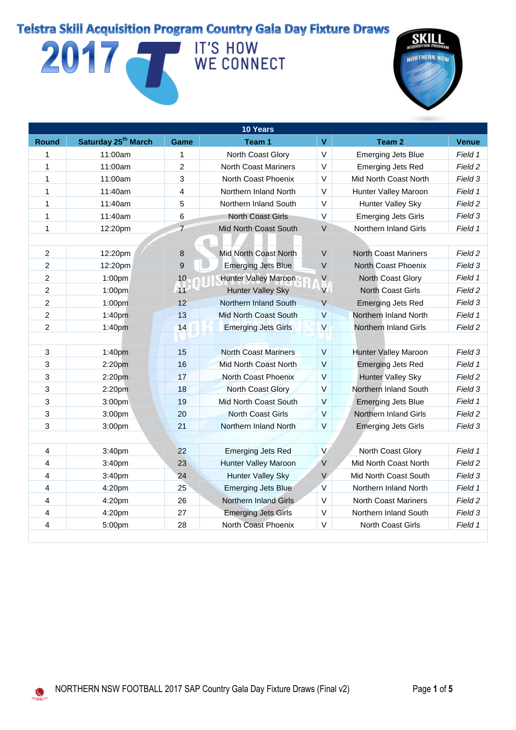## 2017 IT'S HOW WE CONNECT



| 10 Years                |                                 |                |                              |                         |                             |              |
|-------------------------|---------------------------------|----------------|------------------------------|-------------------------|-----------------------------|--------------|
| <b>Round</b>            | Saturday 25 <sup>th</sup> March | Game           | Team 1                       | $\mathbf{V}$            | Team 2                      | <b>Venue</b> |
| 1                       | 11:00am                         | 1              | North Coast Glory            | V                       | <b>Emerging Jets Blue</b>   | Field 1      |
| 1                       | 11:00am                         | $\overline{c}$ | <b>North Coast Mariners</b>  | $\vee$                  | <b>Emerging Jets Red</b>    | Field 2      |
| 1                       | 11:00am                         | 3              | North Coast Phoenix          | $\vee$                  | Mid North Coast North       | Field 3      |
| $\mathbf{1}$            | 11:40am                         | $\overline{4}$ | Northern Inland North        | $\vee$                  | Hunter Valley Maroon        | Field 1      |
| 1                       | 11:40am                         | 5              | Northern Inland South        | $\vee$                  | Hunter Valley Sky           | Field 2      |
| 1                       | 11:40am                         | 6              | <b>North Coast Girls</b>     | $\mathsf V$             | <b>Emerging Jets Girls</b>  | Field 3      |
| 1                       | 12:20pm                         | $\overline{7}$ | Mid North Coast South        | $\vee$                  | Northern Inland Girls       | Field 1      |
|                         |                                 |                |                              |                         |                             |              |
| $\overline{2}$          | 12:20pm                         | 8              | Mid North Coast North        | $\vee$                  | <b>North Coast Mariners</b> | Field 2      |
| $\overline{c}$          | 12:20pm                         | 9              | Emerging Jets Blue           | $\sf V$                 | North Coast Phoenix         | Field 3      |
| 2                       | 1:00pm                          | 10             | Hunter Valley Maroon         | V                       | North Coast Glory           | Field 1      |
| $\overline{c}$          | 1:00pm                          | 11             | <b>Hunter Valley Sky</b>     | V.                      | North Coast Girls           | Field 2      |
| $\overline{c}$          | 1:00pm                          | 12             | Northern Inland South        | $\vee$                  | <b>Emerging Jets Red</b>    | Field 3      |
| $\overline{c}$          | 1:40pm                          | 13             | <b>Mid North Coast South</b> | $\vee$                  | Northern Inland North       | Field 1      |
| $\overline{c}$          | 1:40pm                          | 14             | <b>Emerging Jets Girls</b>   | $\overline{\mathsf{v}}$ | Northern Inland Girls       | Field 2      |
|                         |                                 |                |                              |                         |                             |              |
| 3                       | 1:40pm                          | 15             | <b>North Coast Mariners</b>  | $\vee$                  | Hunter Valley Maroon        | Field 3      |
| 3                       | 2:20pm                          | 16             | <b>Mid North Coast North</b> | $\mathsf{V}$            | <b>Emerging Jets Red</b>    | Field 1      |
| 3                       | 2:20pm                          | 17             | North Coast Phoenix          | $\vee$                  | <b>Hunter Valley Sky</b>    | Field 2      |
| $\mathbf{3}$            | 2:20pm                          | 18             | North Coast Glory            | $\vee$                  | Northern Inland South       | Field 3      |
| 3                       | 3:00pm                          | 19             | Mid North Coast South        | $\vee$                  | <b>Emerging Jets Blue</b>   | Field 1      |
| $\mathfrak{S}$          | 3:00pm                          | 20             | <b>North Coast Girls</b>     | $\vee$                  | Northern Inland Girls       | Field 2      |
| 3                       | 3:00pm                          | 21             | Northern Inland North        | $\vee$                  | <b>Emerging Jets Girls</b>  | Field 3      |
|                         |                                 |                |                              |                         |                             |              |
| 4                       | 3:40pm                          | 22             | <b>Emerging Jets Red</b>     | V                       | North Coast Glory           | Field 1      |
| $\overline{\mathbf{4}}$ | 3:40pm                          | 23             | <b>Hunter Valley Maroon</b>  | $\mathsf V$             | Mid North Coast North       | Field 2      |
| $\overline{4}$          | 3:40pm                          | 24             | <b>Hunter Valley Sky</b>     | V                       | Mid North Coast South       | Field 3      |
| $\overline{\mathbf{4}}$ | 4:20pm                          | 25             | <b>Emerging Jets Blue</b>    | $\mathsf{V}$            | Northern Inland North       | Field 1      |
| $\overline{4}$          | 4:20pm                          | 26             | <b>Northern Inland Girls</b> | V                       | <b>North Coast Mariners</b> | Field 2      |
| $\overline{\mathbf{4}}$ | 4:20pm                          | 27             | <b>Emerging Jets Girls</b>   | $\vee$                  | Northern Inland South       | Field 3      |
| $\overline{4}$          | 5:00pm                          | 28             | North Coast Phoenix          | V                       | North Coast Girls           | Field 1      |
|                         |                                 |                |                              |                         |                             |              |

M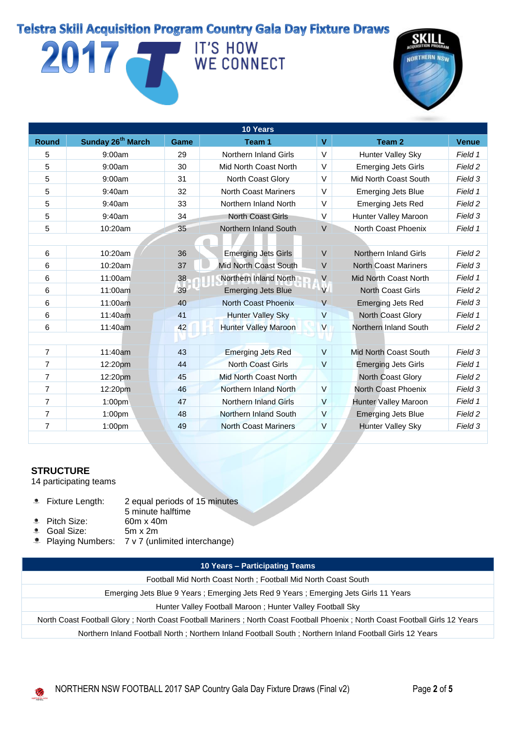## 2017 IT'S HOW WE CONNECT



| 10 Years                      |      |                              |              |                              |              |  |  |
|-------------------------------|------|------------------------------|--------------|------------------------------|--------------|--|--|
| Sunday 26 <sup>th</sup> March | Game | Team 1                       | $\mathbf{V}$ | Team 2                       | <b>Venue</b> |  |  |
| 9:00am                        | 29   | <b>Northern Inland Girls</b> | V            | Hunter Valley Sky            | Field 1      |  |  |
| 9:00am                        | 30   | Mid North Coast North        | $\vee$       | <b>Emerging Jets Girls</b>   | Field 2      |  |  |
| 9:00am                        | 31   | North Coast Glory            | V            | Mid North Coast South        | Field 3      |  |  |
| 9:40am                        | 32   | <b>North Coast Mariners</b>  | $\vee$       | <b>Emerging Jets Blue</b>    | Field 1      |  |  |
| 9:40am                        | 33   | Northern Inland North        | $\vee$       | <b>Emerging Jets Red</b>     | Field 2      |  |  |
| 9:40am                        | 34   | <b>North Coast Girls</b>     | V            | Hunter Valley Maroon         | Field 3      |  |  |
| 10:20am                       | 35   | Northern Inland South        | V            | North Coast Phoenix          | Field 1      |  |  |
|                               |      |                              |              |                              |              |  |  |
| 10:20am                       | 36   | <b>Emerging Jets Girls</b>   | $\vee$       | <b>Northern Inland Girls</b> | Field 2      |  |  |
| 10:20am                       | 37   | Mid North Coast South        | $\vee$       | <b>North Coast Mariners</b>  | Field 3      |  |  |
| 11:00am                       | 38   | Northern Inland North        | $\vee$       | Mid North Coast North        | Field 1      |  |  |
| 11:00am                       | 39   | <b>Emerging Jets Blue</b>    | V            | <b>North Coast Girls</b>     | Field 2      |  |  |
| 11:00am                       | 40   | North Coast Phoenix          | $\vee$       | <b>Emerging Jets Red</b>     | Field 3      |  |  |
| 11:40am                       | 41   | <b>Hunter Valley Sky</b>     | V            | <b>North Coast Glory</b>     | Field 1      |  |  |
| 11:40am                       | 42   | <b>Hunter Valley Maroon</b>  | $\mathsf{V}$ | Northern Inland South        | Field 2      |  |  |
|                               |      |                              |              |                              |              |  |  |
| 11:40am                       | 43   | <b>Emerging Jets Red</b>     | $\vee$       | Mid North Coast South        | Field 3      |  |  |
| 12:20pm                       | 44   | <b>North Coast Girls</b>     | $\vee$       | <b>Emerging Jets Girls</b>   | Field 1      |  |  |
| 12:20pm                       | 45   | Mid North Coast North        |              | North Coast Glory            | Field 2      |  |  |
| 12:20pm                       | 46   | Northern Inland North        | V            | North Coast Phoenix          | Field 3      |  |  |
| 1:00 <sub>pm</sub>            | 47   | Northern Inland Girls        | V            | <b>Hunter Valley Maroon</b>  | Field 1      |  |  |
| 1:00pm                        | 48   | Northern Inland South        | V            | <b>Emerging Jets Blue</b>    | Field 2      |  |  |
| 1:00pm                        | 49   | <b>North Coast Mariners</b>  | $\vee$       | <b>Hunter Valley Sky</b>     | Field 3      |  |  |
|                               |      |                              |              |                              |              |  |  |

#### **STRUCTURE**

M

14 participating teams

- Fixture Length: 2 equal periods of 15 minutes  $^*$
- 5 minute halftime
- $\bullet$ Pitch Size: 60m x 40m a.
- Goal Size: 5m x 2m 3.
	- Playing Numbers: 7 v 7 (unlimited interchange)

#### **10 Years – Participating Teams**

Football Mid North Coast North ; Football Mid North Coast South

Emerging Jets Blue 9 Years ; Emerging Jets Red 9 Years ; Emerging Jets Girls 11 Years

Hunter Valley Football Maroon ; Hunter Valley Football Sky

North Coast Football Glory ; North Coast Football Mariners ; North Coast Football Phoenix ; North Coast Football Girls 12 Years

Northern Inland Football North ; Northern Inland Football South ; Northern Inland Football Girls 12 Years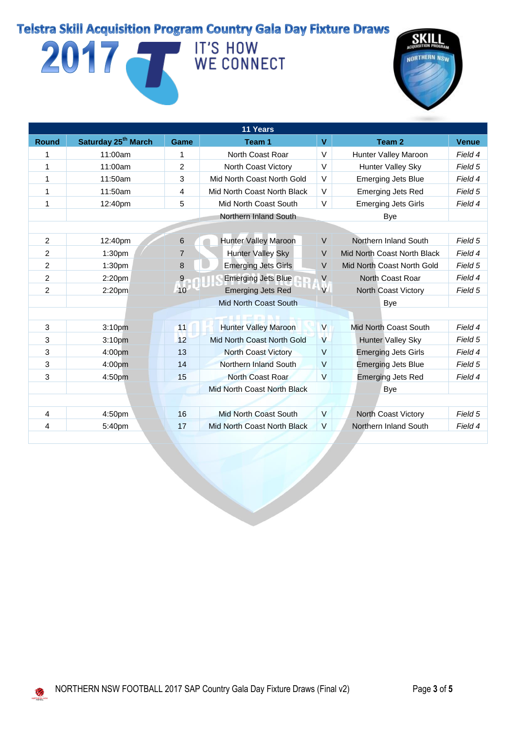# 2017 IT'S HOW WE CONNECT



| 11 Years       |                                 |                |                              |                         |                             |              |  |
|----------------|---------------------------------|----------------|------------------------------|-------------------------|-----------------------------|--------------|--|
| <b>Round</b>   | Saturday 25 <sup>th</sup> March | <b>Game</b>    | Team 1                       | V                       | Team 2                      | <b>Venue</b> |  |
| 1              | 11:00am                         | 1              | North Coast Roar             | V                       | Hunter Valley Maroon        | Field 4      |  |
| 1              | 11:00am                         | $\overline{2}$ | North Coast Victory          | V                       | Hunter Valley Sky           | Field 5      |  |
| 1              | 11:50am                         | 3              | Mid North Coast North Gold   | V                       | <b>Emerging Jets Blue</b>   | Field 4      |  |
| 1              | 11:50am                         | 4              | Mid North Coast North Black  | V                       | <b>Emerging Jets Red</b>    | Field 5      |  |
| 1              | 12:40pm                         | 5              | Mid North Coast South        | V                       | <b>Emerging Jets Girls</b>  | Field 4      |  |
|                |                                 |                | Northern Inland South        |                         | Bye                         |              |  |
|                |                                 |                |                              |                         |                             |              |  |
| $\overline{2}$ | 12:40pm                         | 6              | Hunter Valley Maroon         | $\vee$                  | Northern Inland South       | Field 5      |  |
| 2              | 1:30pm                          | $\overline{7}$ | <b>Hunter Valley Sky</b>     | V                       | Mid North Coast North Black | Field 4      |  |
| 2              | 1:30 <sub>pm</sub>              | 8              | <b>Emerging Jets Girls</b>   | $\vee$                  | Mid North Coast North Gold  | Field 5      |  |
| 2              | 2:20 <sub>pm</sub>              | $\overline{9}$ | <b>Emerging Jets Blue</b>    | V                       | North Coast Roar            | Field 4      |  |
| $\overline{c}$ | 2:20 <sub>pm</sub>              | 10             | <b>Emerging Jets Red</b>     | V                       | <b>North Coast Victory</b>  | Field 5      |  |
|                |                                 |                | Mid North Coast South        |                         | Bye                         |              |  |
|                |                                 |                | --                           |                         |                             |              |  |
| 3              | 3:10 <sub>pm</sub>              | 11             | <b>Hunter Valley Maroon</b>  | $\overline{V}$          | Mid North Coast South       | Field 4      |  |
| 3              | 3:10pm                          | 12             | Mid North Coast North Gold   | V                       | <b>Hunter Valley Sky</b>    | Field 5      |  |
| 3              | 4:00pm                          | 13             | <b>North Coast Victory</b>   | $\vee$                  | <b>Emerging Jets Girls</b>  | Field 4      |  |
| 3              | 4:00pm                          | 14             | Northern Inland South        | $\vee$                  | <b>Emerging Jets Blue</b>   | Field 5      |  |
| 3              | 4:50pm                          | 15             | North Coast Roar             | $\overline{\mathsf{V}}$ | <b>Emerging Jets Red</b>    | Field 4      |  |
|                |                                 |                | Mid North Coast North Black  |                         | <b>Bye</b>                  |              |  |
|                |                                 |                |                              |                         |                             |              |  |
| 4              | 4:50pm                          | 16             | <b>Mid North Coast South</b> | $\vee$                  | North Coast Victory         | Field 5      |  |
| 4              | 5:40pm                          | 17             | Mid North Coast North Black  | $\vee$                  | Northern Inland South       | Field 4      |  |

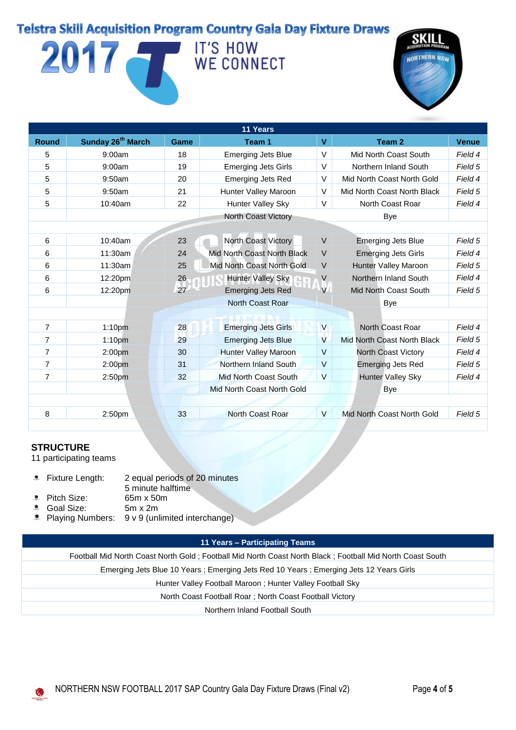# 2017 IT'S HOW WE CONNECT



| 11 Years       |                               |      |                                    |                         |                             |              |  |
|----------------|-------------------------------|------|------------------------------------|-------------------------|-----------------------------|--------------|--|
| <b>Round</b>   | Sunday 26 <sup>th</sup> March | Game | Team 1                             | V                       | Team 2                      | <b>Venue</b> |  |
| 5              | 9:00am                        | 18   | <b>Emerging Jets Blue</b>          | $\vee$                  | Mid North Coast South       | Field 4      |  |
| 5              | 9:00am                        | 19   | <b>Emerging Jets Girls</b>         | V                       | Northern Inland South       | Field 5      |  |
| 5              | 9:50am                        | 20   | <b>Emerging Jets Red</b>           | V                       | Mid North Coast North Gold  | Field 4      |  |
| 5              | 9:50am                        | 21   | Hunter Valley Maroon               | V                       | Mid North Coast North Black | Field 5      |  |
| 5              | 10:40am                       | 22   | <b>Hunter Valley Sky</b>           | V                       | North Coast Roar            | Field 4      |  |
|                |                               |      | <b>North Coast Victory</b>         |                         | Bye                         |              |  |
|                |                               |      |                                    |                         |                             |              |  |
| 6              | 10:40am                       | 23   | <b>North Coast Victory</b>         | $\vee$                  | <b>Emerging Jets Blue</b>   | Field 5      |  |
| 6              | 11:30am                       | 24   | <b>Mid North Coast North Black</b> | $\vee$                  | <b>Emerging Jets Girls</b>  | Field 4      |  |
| 6              | 11:30am                       | 25   | Mid North Coast North Gold         | $\vee$                  | Hunter Valley Maroon        | Field 5      |  |
| 6              | 12:20pm                       | 26   | <b>Hunter Valley Sky</b>           | V                       | Northern Inland South       | Field 4      |  |
| 6              | 12:20pm                       | 27   | <b>Emerging Jets Red</b>           | V                       | Mid North Coast South       | Field 5      |  |
|                |                               |      | North Coast Roar                   |                         | Bye                         |              |  |
|                |                               |      | <b>THE PERIOD</b>                  |                         |                             |              |  |
| 7              | 1:10 <sub>pm</sub>            | 28   | <b>Emerging Jets Girls</b>         | $\overline{\mathsf{V}}$ | North Coast Roar            | Field 4      |  |
| 7              | 1:10 <sub>pm</sub>            | 29   | <b>Emerging Jets Blue</b>          | V                       | Mid North Coast North Black | Field 5      |  |
| $\overline{7}$ | 2:00 <sub>pm</sub>            | 30   | <b>Hunter Valley Maroon</b>        | $\vee$                  | North Coast Victory         | Field 4      |  |
| 7              | 2:00 <sub>pm</sub>            | 31   | Northern Inland South              | V                       | <b>Emerging Jets Red</b>    | Field 5      |  |
| $\overline{7}$ | 2:50 <sub>pm</sub>            | 32   | Mid North Coast South              | $\overline{\mathsf{V}}$ | <b>Hunter Valley Sky</b>    | Field 4      |  |
|                |                               |      | Mid North Coast North Gold         |                         | <b>Bye</b>                  |              |  |
|                |                               |      |                                    |                         |                             |              |  |
| 8              | 2:50 <sub>pm</sub>            | 33   | North Coast Roar                   | V                       | Mid North Coast North Gold  | Field 5      |  |
|                |                               |      |                                    |                         |                             |              |  |

#### **STRUCTURE**

11 participating teams

- **EXTER Fixture Length:** 2 equal periods of 20 minutes 5 minute halftime
- Pitch Size: 65m x 50m
- **<sup>3</sup>** Goal Size: 5m x 2m
- **Playing Numbers:** 9 v 9 (unlimited interchange)

#### **11 Years – Participating Teams**

Football Mid North Coast North Gold ; Football Mid North Coast North Black ; Football Mid North Coast South Emerging Jets Blue 10 Years ; Emerging Jets Red 10 Years ; Emerging Jets 12 Years Girls Hunter Valley Football Maroon ; Hunter Valley Football Sky North Coast Football Roar ; North Coast Football Victory Northern Inland Football South